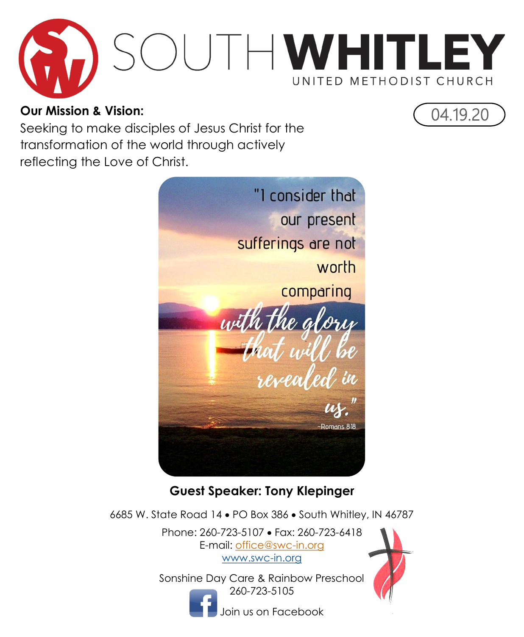

#### **Our Mission & Vision:**

Seeking to make disciples of Jesus Christ for the transformation of the world through actively reflecting the Love of Christ.



#### **Guest Speaker: Tony Klepinger**

6685 W. State Road 14 PO Box 386 South Whitley, IN 46787

Phone: 260-723-5107 Fax: 260-723-6418 E-mail: [office@swc-in.org](mailto:swumc@embarqmail.com) [www.swc-in.org](http://www.swc-in.org)

Sonshine Day Care & Rainbow Preschool 260-723-5105





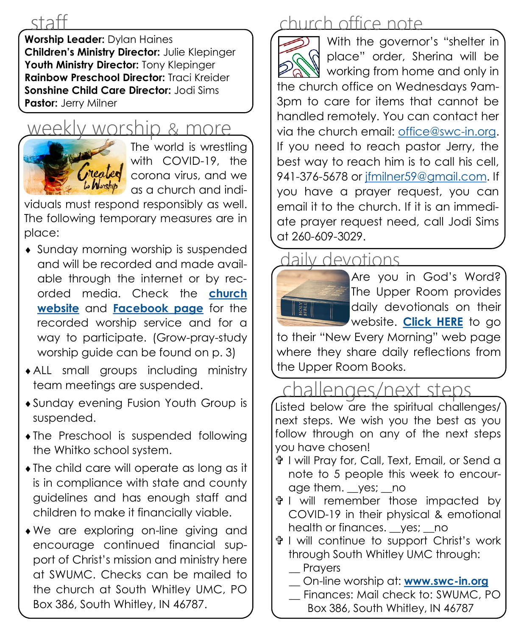staff

**Worship Leader:** Dylan Haines **Children's Ministry Director:** Julie Klepinger **Youth Ministry Director:** Tony Klepinger **Rainbow Preschool Director:** Traci Kreider **Sonshine Child Care Director:** Jodi Sims **Pastor:** Jerry Milner

# worship & more



The world is wrestling with COVID-19, the corona virus, and we as a church and indi-

viduals must respond responsibly as well. The following temporary measures are in place:

- Sunday morning worship is suspended and will be recorded and made available through the internet or by recorded media. Check the **[church](http://www.swc-in.org)  [website](http://www.swc-in.org)** and **[Facebook page](https://www.facebook.com/pg/South-Whitley-United-Methodist-Church-106173364366/about/)** for the recorded worship service and for a way to participate. (Grow-pray-study worship guide can be found on p. 3)
- ALL small groups including ministry team meetings are suspended.
- Sunday evening Fusion Youth Group is suspended.
- The Preschool is suspended following the Whitko school system.
- The child care will operate as long as it is in compliance with state and county guidelines and has enough staff and children to make it financially viable.
- We are exploring on-line giving and encourage continued financial support of Christ's mission and ministry here at SWUMC. Checks can be mailed to the church at South Whitley UMC, PO Box 386, South Whitley, IN 46787.

### church office note

With the governor's "shelter in R place" order, Sherina will be working from home and only in the church office on Wednesdays 9am-3pm to care for items that cannot be handled remotely. You can contact her via the church email: [office@swc-in.org.](mailto:office@swc-in.org) If you need to reach pastor Jerry, the best way to reach him is to call his cell, 941-376-5678 or [jfmilner59@gmail.com.](mailto:jfmilner59@gmail.com) If you have a prayer request, you can email it to the church. If it is an immediate prayer request need, call Jodi Sims at 260-609-3029.

### daily devotions



to their "New Every Morning" web page where they share daily reflections from the Upper Room Books.

### hallenges/next steps

Listed below are the spiritual challenges/ next steps. We wish you the best as you follow through on any of the next steps you have chosen!

- I will Pray for, Call, Text, Email, or Send a note to 5 people this week to encourage them. \_\_yes; \_\_no
- I will remember those impacted by COVID-19 in their physical & emotional health or finances. yes; no
- I will continue to support Christ's work through South Whitley UMC through: **Prayers** 
	- \_\_ On-line worship at: **[www.swc-in.org](http://www.swc-in.org)**
	- \_\_ Finances: Mail check to: SWUMC, PO
		- Box 386, South Whitley, IN 46787